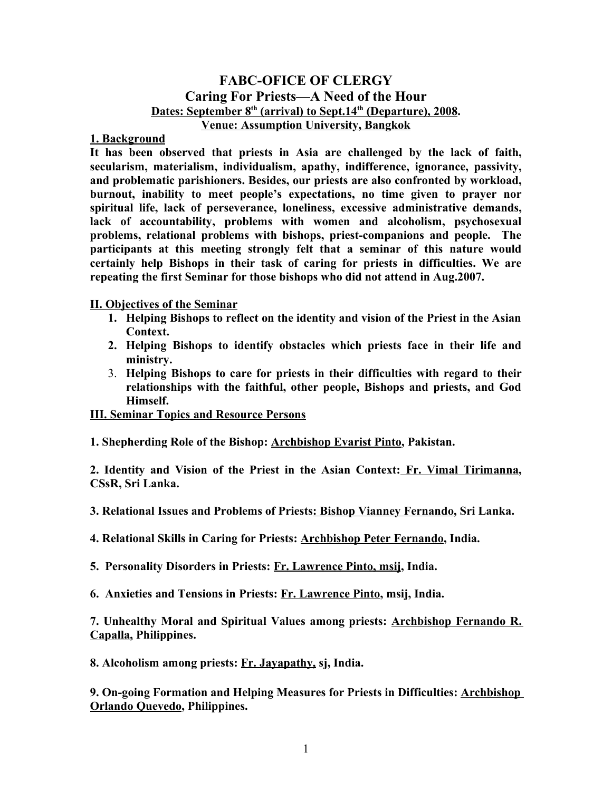## **FABC-OFICE OF CLERGY Caring For Priests—A Need of the Hour Dates: September 8th (arrival) to Sept.14th (Departure), 2008. Venue: Assumption University, Bangkok**

## **1. Background**

**It has been observed that priests in Asia are challenged by the lack of faith, secularism, materialism, individualism, apathy, indifference, ignorance, passivity, and problematic parishioners. Besides, our priests are also confronted by workload, burnout, inability to meet people's expectations, no time given to prayer nor spiritual life, lack of perseverance, loneliness, excessive administrative demands, lack of accountability, problems with women and alcoholism, psychosexual problems, relational problems with bishops, priest-companions and people. The participants at this meeting strongly felt that a seminar of this nature would certainly help Bishops in their task of caring for priests in difficulties. We are repeating the first Seminar for those bishops who did not attend in Aug.2007.**

**II. Objectives of the Seminar**

- **1. Helping Bishops to reflect on the identity and vision of the Priest in the Asian Context.**
- **2. Helping Bishops to identify obstacles which priests face in their life and ministry.**
- 3. **Helping Bishops to care for priests in their difficulties with regard to their relationships with the faithful, other people, Bishops and priests, and God Himself.**

**III. Seminar Topics and Resource Persons**

**1. Shepherding Role of the Bishop: Archbishop Evarist Pinto, Pakistan.** 

**2. Identity and Vision of the Priest in the Asian Context: Fr. Vimal Tirimanna, CSsR, Sri Lanka.** 

**3. Relational Issues and Problems of Priests: Bishop Vianney Fernando, Sri Lanka.**

**4. Relational Skills in Caring for Priests: Archbishop Peter Fernando, India.** 

**5. Personality Disorders in Priests: Fr. Lawrence Pinto, msij, India.**

**6. Anxieties and Tensions in Priests: Fr. Lawrence Pinto, msij, India.**

**7. Unhealthy Moral and Spiritual Values among priests: Archbishop Fernando R. Capalla, Philippines.** 

**8. Alcoholism among priests: Fr. Jayapathy, sj, India.** 

**9. On-going Formation and Helping Measures for Priests in Difficulties: Archbishop Orlando Quevedo, Philippines.**